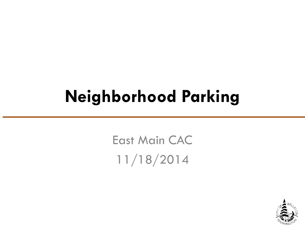## **Neighborhood Parking**

East Main CAC 11/18/2014

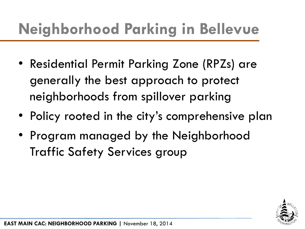## **Neighborhood Parking in Bellevue**

- Residential Permit Parking Zone (RPZs) are generally the best approach to protect neighborhoods from spillover parking
- Policy rooted in the city's comprehensive plan
- Program managed by the Neighborhood Traffic Safety Services group

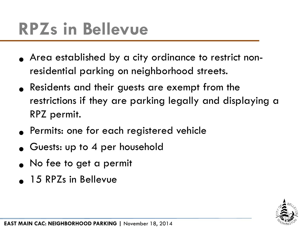# **RPZs in Bellevue**

- Area established by a city ordinance to restrict nonresidential parking on neighborhood streets.
- Residents and their guests are exempt from the restrictions if they are parking legally and displaying a RPZ permit.
- Permits: one for each registered vehicle
- Guests: up to 4 per household
- No fee to get a permit
- 15 RPZs in Bellevue

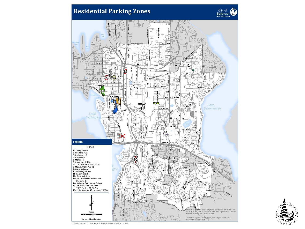



Pibtibate: 2/25/2011 File Name: V:tharogistes \NTC P\RPZ\_8x11.mxd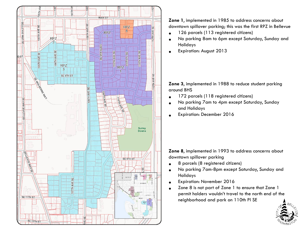

**Zone 1**, implemented in 1985 to address concerns about downtown spillover parking; this was the first RPZ in Bellevue

- 126 parcels (113 registered citizens)
- No parking 8am to 6pm except Saturday, Sunday and Holidays
- Expiration: August 2013

#### **Zone 3**, implemented in 1988 to reduce student parking around BHS

- 172 parcels (118 registered citizens)
- No parking 7am to 4pm except Saturday, Sunday and Holidays
- Expiration: December 2016

**Zone 8**, implemented in 1993 to address concerns about downtown spillover parking

- 8 parcels (8 registered citizens)
- No parking 7am-8pm except Saturday, Sunday and Holidays
- Expiration: November 2016
- Zone 8 is not part of Zone 1 to ensure that Zone 1 permit holders wouldn't travel to the north end of the neighborhood and park on 110th Pl SE